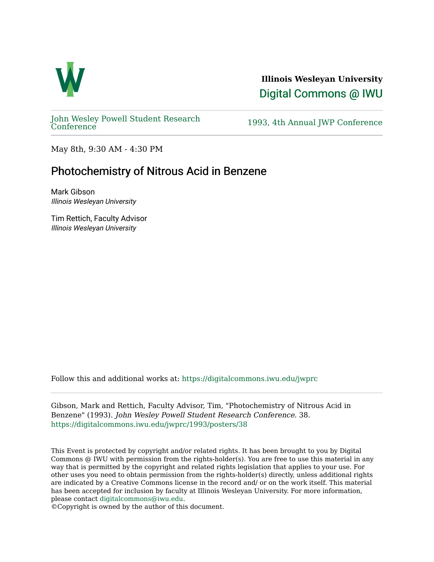

**Illinois Wesleyan University**  [Digital Commons @ IWU](https://digitalcommons.iwu.edu/) 

[John Wesley Powell Student Research](https://digitalcommons.iwu.edu/jwprc) 

1993, 4th Annual JWP [Conference](https://digitalcommons.iwu.edu/jwprc)

May 8th, 9:30 AM - 4:30 PM

## Photochemistry of Nitrous Acid in Benzene

Mark Gibson Illinois Wesleyan University

Tim Rettich, Faculty Advisor Illinois Wesleyan University

Follow this and additional works at: [https://digitalcommons.iwu.edu/jwprc](https://digitalcommons.iwu.edu/jwprc?utm_source=digitalcommons.iwu.edu%2Fjwprc%2F1993%2Fposters%2F38&utm_medium=PDF&utm_campaign=PDFCoverPages) 

Gibson, Mark and Rettich, Faculty Advisor, Tim, "Photochemistry of Nitrous Acid in Benzene" (1993). John Wesley Powell Student Research Conference. 38. [https://digitalcommons.iwu.edu/jwprc/1993/posters/38](https://digitalcommons.iwu.edu/jwprc/1993/posters/38?utm_source=digitalcommons.iwu.edu%2Fjwprc%2F1993%2Fposters%2F38&utm_medium=PDF&utm_campaign=PDFCoverPages)

This Event is protected by copyright and/or related rights. It has been brought to you by Digital Commons @ IWU with permission from the rights-holder(s). You are free to use this material in any way that is permitted by the copyright and related rights legislation that applies to your use. For other uses you need to obtain permission from the rights-holder(s) directly, unless additional rights are indicated by a Creative Commons license in the record and/ or on the work itself. This material has been accepted for inclusion by faculty at Illinois Wesleyan University. For more information, please contact [digitalcommons@iwu.edu.](mailto:digitalcommons@iwu.edu)

©Copyright is owned by the author of this document.